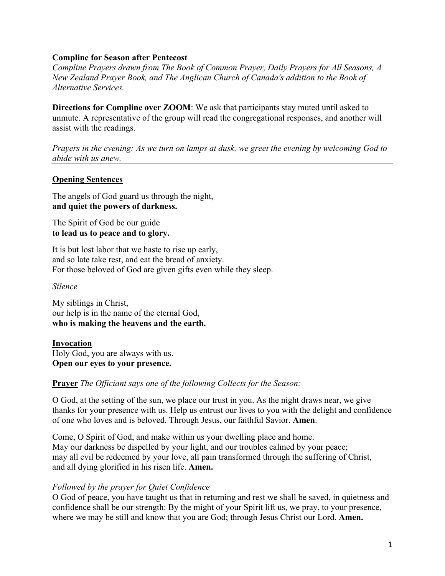# **Compline for Season after Pentecost**

*Compline Prayers drawn from The Book of Common Prayer, Daily Prayers for All Seasons, A New Zealand Prayer Book, and The Anglican Church of Canada's addition to the Book of Alternative Services.*

**Directions for Compline over ZOOM:** We ask that participants stay muted until asked to unmute. A representative of the group will read the congregational responses, and another will assist with the readings.

*Prayers in the evening: As we turn on lamps at dusk, we greet the evening by welcoming God to abide with us anew.* 

# **Opening Sentences**

The angels of God guard us through the night, **and quiet the powers of darkness.**

The Spirit of God be our guide **to lead us to peace and to glory.**

It is but lost labor that we haste to rise up early, and so late take rest, and eat the bread of anxiety. For those beloved of God are given gifts even while they sleep.

*Silence*

My siblings in Christ, our help is in the name of the eternal God, **who is making the heavens and the earth.**

**Invocation** Holy God, you are always with us. **Open our eyes to your presence.** 

# **Prayer** *The Officiant says one of the following Collects for the Season:*

O God, at the setting of the sun, we place our trust in you. As the night draws near, we give thanks for your presence with us. Help us entrust our lives to you with the delight and confidence of one who loves and is beloved. Through Jesus, our faithful Savior. **Amen**.

Come, O Spirit of God, and make within us your dwelling place and home. May our darkness be dispelled by your light, and our troubles calmed by your peace; may all evil be redeemed by your love, all pain transformed through the suffering of Christ, and all dying glorified in his risen life. **Amen.**

### *Followed by the prayer for Quiet Confidence*

O God of peace, you have taught us that in returning and rest we shall be saved, in quietness and confidence shall be our strength: By the might of your Spirit lift us, we pray, to your presence, where we may be still and know that you are God; through Jesus Christ our Lord. **Amen.**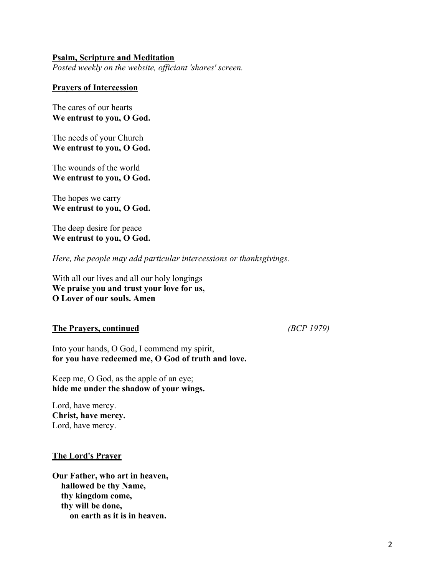# **Psalm, Scripture and Meditation**

*Posted weekly on the website, officiant 'shares' screen.*

### **Prayers of Intercession**

The cares of our hearts **We entrust to you, O God.**

The needs of your Church **We entrust to you, O God.**

The wounds of the world **We entrust to you, O God.**

The hopes we carry **We entrust to you, O God.**

The deep desire for peace **We entrust to you, O God.**

*Here, the people may add particular intercessions or thanksgivings.*

With all our lives and all our holy longings **We praise you and trust your love for us, O Lover of our souls. Amen**

# **The Prayers, continued** *(BCP 1979)*

Into your hands, O God, I commend my spirit, **for you have redeemed me, O God of truth and love.**

Keep me, O God, as the apple of an eye; **hide me under the shadow of your wings.**

Lord, have mercy. **Christ, have mercy.** Lord, have mercy.

#### **The Lord's Prayer**

**Our Father, who art in heaven, hallowed be thy Name, thy kingdom come, thy will be done, on earth as it is in heaven.**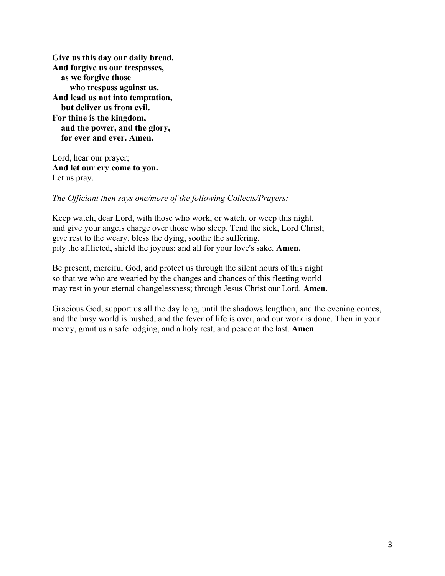**Give us this day our daily bread. And forgive us our trespasses, as we forgive those who trespass against us. And lead us not into temptation, but deliver us from evil. For thine is the kingdom, and the power, and the glory, for ever and ever. Amen.**

Lord, hear our prayer; **And let our cry come to you.** Let us pray.

# *The Officiant then says one/more of the following Collects/Prayers:*

Keep watch, dear Lord, with those who work, or watch, or weep this night, and give your angels charge over those who sleep. Tend the sick, Lord Christ; give rest to the weary, bless the dying, soothe the suffering, pity the afflicted, shield the joyous; and all for your love's sake. **Amen.**

Be present, merciful God, and protect us through the silent hours of this night so that we who are wearied by the changes and chances of this fleeting world may rest in your eternal changelessness; through Jesus Christ our Lord. **Amen.** 

Gracious God, support us all the day long, until the shadows lengthen, and the evening comes, and the busy world is hushed, and the fever of life is over, and our work is done. Then in your mercy, grant us a safe lodging, and a holy rest, and peace at the last. **Amen**.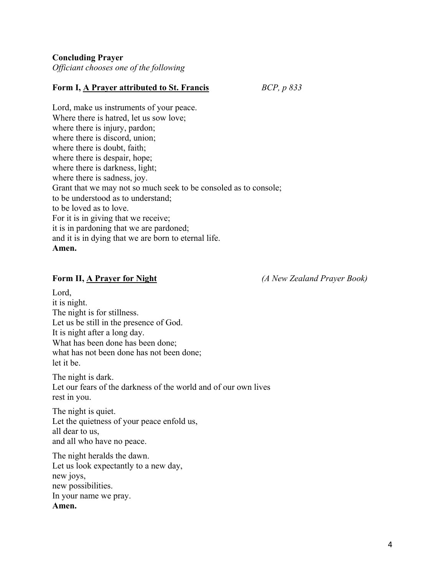**Concluding Prayer** 

*Officiant chooses one of the following*

# **Form I, A Prayer attributed to St. Francis** *BCP, p 833*

Lord, make us instruments of your peace. Where there is hatred, let us sow love; where there is injury, pardon; where there is discord, union; where there is doubt, faith; where there is despair, hope; where there is darkness, light; where there is sadness, joy. Grant that we may not so much seek to be consoled as to console; to be understood as to understand; to be loved as to love. For it is in giving that we receive; it is in pardoning that we are pardoned; and it is in dying that we are born to eternal life. **Amen.**

**Form II, A Prayer for Night** *(A New Zealand Prayer Book)*

Lord, it is night. The night is for stillness. Let us be still in the presence of God. It is night after a long day. What has been done has been done; what has not been done has not been done; let it be.

The night is dark. Let our fears of the darkness of the world and of our own lives rest in you.

The night is quiet. Let the quietness of your peace enfold us, all dear to us, and all who have no peace.

The night heralds the dawn. Let us look expectantly to a new day, new joys, new possibilities. In your name we pray. **Amen.**